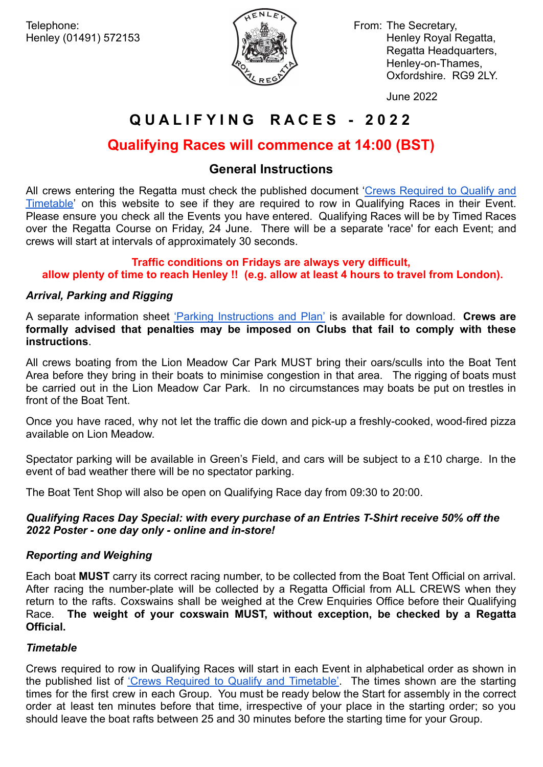

Henley (01491) 572153 **Henley Royal Regatta,** Network Regatta, Regatta Headquarters, Henley-on-Thames, Oxfordshire. RG9 2LY.

June 2022

# **Q U A L I F Y I N G R A C E S - 2 0 2 2**

# **Qualifying Races will commence at 14:00 (BST)**

# **General Instructions**

All crews entering the Regatta must check the published document 'Crews [Required](https://hrr-prod-assets-bucket.s3.amazonaws.com/2022/06/Crews-Required-to-Qualify-Timetable-2022.pdf) to Qualify and [Timetable'](https://hrr-prod-assets-bucket.s3.amazonaws.com/2022/06/Crews-Required-to-Qualify-Timetable-2022.pdf) on this website to see if they are required to row in Qualifying Races in their Event. Please ensure you check all the Events you have entered. Qualifying Races will be by Timed Races over the Regatta Course on Friday, 24 June. There will be a separate 'race' for each Event; and crews will start at intervals of approximately 30 seconds.

## **Traffic conditions on Fridays are always very difficult, allow plenty of time to reach Henley !! (e.g. allow at least 4 hours to travel from London).**

## *Arrival, Parking and Rigging*

A separate information sheet 'Parking [Instructions](https://hrr-prod-assets-bucket.s3.amazonaws.com/2022/06/2022-QR-Parking-Instructions-Plan.pdf) and Plan' is available for download. **Crews are formally advised that penalties may be imposed on Clubs that fail to comply with these instructions**.

All crews boating from the Lion Meadow Car Park MUST bring their oars/sculls into the Boat Tent Area before they bring in their boats to minimise congestion in that area. The rigging of boats must be carried out in the Lion Meadow Car Park. In no circumstances may boats be put on trestles in front of the Boat Tent.

Once you have raced, why not let the traffic die down and pick-up a freshly-cooked, wood-fired pizza available on Lion Meadow.

Spectator parking will be available in Green's Field, and cars will be subject to a £10 charge. In the event of bad weather there will be no spectator parking.

The Boat Tent Shop will also be open on Qualifying Race day from 09:30 to 20:00.

## *Qualifying Races Day Special: with every purchase of an Entries T-Shirt receive 50% off the 2022 Poster - one day only - online and in-store!*

## *Reporting and Weighing*

Each boat **MUST** carry its correct racing number, to be collected from the Boat Tent Official on arrival. After racing the number-plate will be collected by a Regatta Official from ALL CREWS when they return to the rafts. Coxswains shall be weighed at the Crew Enquiries Office before their Qualifying Race. **The weight of your coxswain MUST, without exception, be checked by a Regatta Official.**

## *Timetable*

Crews required to row in Qualifying Races will start in each Event in alphabetical order as shown in the published list of 'Crews Required to Qualify and [Timetable'](https://hrr-prod-assets-bucket.s3.amazonaws.com/2022/06/Crews-Required-to-Qualify-Timetable-2022.pdf). The times shown are the starting times for the first crew in each Group. You must be ready below the Start for assembly in the correct order at least ten minutes before that time, irrespective of your place in the starting order; so you should leave the boat rafts between 25 and 30 minutes before the starting time for your Group.